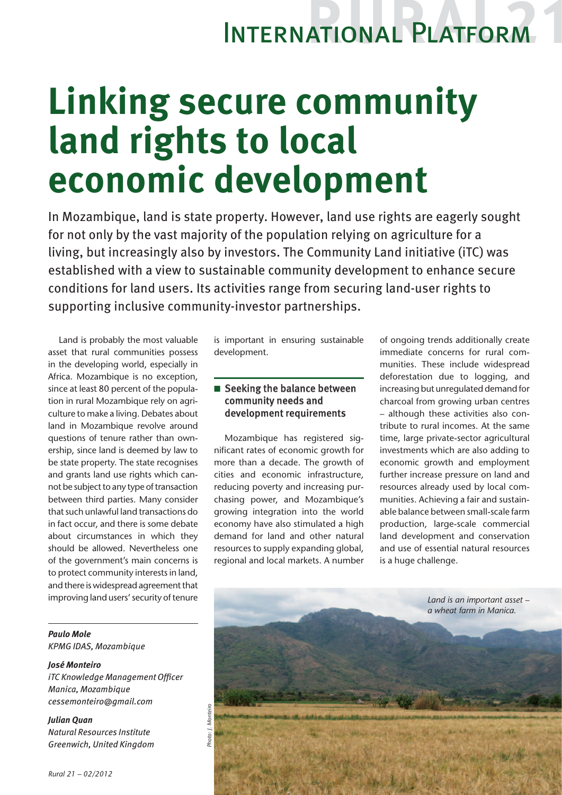## International Platform

# **Linking secure community land rights to local economic development**

In Mozambique, land is state property. However, land use rights are eagerly sought for not only by the vast majority of the population relying on agriculture for a living, but increasingly also by investors. The Community Land initiative (iTC) was established with a view to sustainable community development to enhance secure conditions for land users. Its activities range from securing land-user rights to supporting inclusive community-investor partnerships.

Land is probably the most valuable asset that rural communities possess in the developing world, especially in Africa. Mozambique is no exception, since at least 80 percent of the population in rural Mozambique rely on agriculture to make a living. Debates about land in Mozambique revolve around questions of tenure rather than ownership, since land is deemed by law to be state property. The state recognises and grants land use rights which cannot be subject to any type of transaction between third parties. Many consider that such unlawful land transactions do in fact occur, and there is some debate about circumstances in which they should be allowed. Nevertheless one of the government's main concerns is to protect community interests in land, and there is widespread agreement that improving land users' security of tenure

*Paulo Mole KPMG IDAS, Mozambique*

*José Monteiro iTC Knowledge Management Officer Manica, Mozambique cessemonteiro@gmail.com*

*Julian Quan Natural Resources Institute Greenwich, United Kingdom* is important in ensuring sustainable development.

### $\blacksquare$  Seeking the balance between community needs and development requirements

Mozambique has registered significant rates of economic growth for more than a decade. The growth of cities and economic infrastructure, reducing poverty and increasing purchasing power, and Mozambique's growing integration into the world economy have also stimulated a high demand for land and other natural resources to supply expanding global, regional and local markets. A number of ongoing trends additionally create immediate concerns for rural communities. These include widespread deforestation due to logging, and increasing but unregulated demand for charcoal from growing urban centres – although these activities also contribute to rural incomes. At the same time, large private-sector agricultural investments which are also adding to economic growth and employment further increase pressure on land and resources already used by local communities. Achieving a fair and sustainable balance between small-scale farm production, large-scale commercial land development and conservation and use of essential natural resources is a huge challenge.

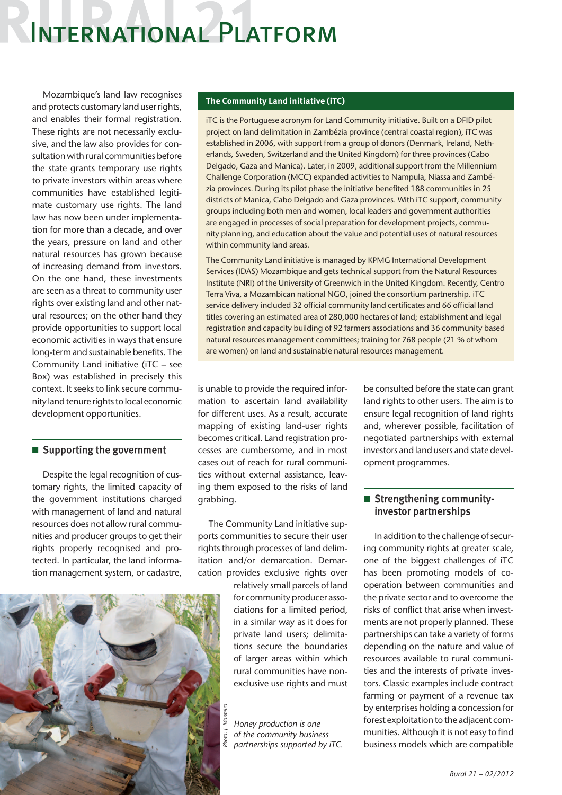### International Platform

Mozambique's land law recognises and protects customary land user rights, and enables their formal registration. These rights are not necessarily exclusive, and the law also provides for consultation with rural communities before the state grants temporary use rights to private investors within areas where communities have established legitimate customary use rights. The land law has now been under implementation for more than a decade, and over the years, pressure on land and other natural resources has grown because of increasing demand from investors. On the one hand, these investments are seen as a threat to community user rights over existing land and other natural resources; on the other hand they provide opportunities to support local economic activities in ways that ensure long-term and sustainable benefits. The Community Land initiative (iTC – see Box) was established in precisely this context. It seeks to link secure community land tenure rights to local economic development opportunities.

#### $\blacksquare$  Supporting the government

Despite the legal recognition of customary rights, the limited capacity of the government institutions charged with management of land and natural resources does not allow rural communities and producer groups to get their rights properly recognised and protected. In particular, the land information management system, or cadastre,



#### **The Community Land initiative (iTC)**

iTC is the Portuguese acronym for Land Community initiative. Built on a DFID pilot project on land delimitation in Zambézia province (central coastal region), iTC was established in 2006, with support from a group of donors (Denmark, Ireland, Netherlands, Sweden, Switzerland and the United Kingdom) for three provinces (Cabo Delgado, Gaza and Manica). Later, in 2009, additional support from the Millennium Challenge Corporation (MCC) expanded activities to Nampula, Niassa and Zambézia provinces. During its pilot phase the initiative benefited 188 communities in 25 districts of Manica, Cabo Delgado and Gaza provinces. With iTC support, community groups including both men and women, local leaders and government authorities are engaged in processes of social preparation for development projects, community planning, and education about the value and potential uses of natural resources within community land areas.

The Community Land initiative is managed by KPMG International Development Services (IDAS) Mozambique and gets technical support from the Natural Resources Institute (NRI) of the University of Greenwich in the United Kingdom. Recently, Centro Terra Viva, a Mozambican national NGO, joined the consortium partnership. iTC service delivery included 32 official community land certificates and 66 official land titles covering an estimated area of 280,000 hectares of land; establishment and legal registration and capacity building of 92 farmers associations and 36 community based natural resources management committees; training for 768 people (21 % of whom are women) on land and sustainable natural resources management.

is unable to provide the required information to ascertain land availability for different uses. As a result, accurate mapping of existing land-user rights becomes critical. Land registration processes are cumbersome, and in most cases out of reach for rural communities without external assistance, leaving them exposed to the risks of land grabbing.

The Community Land initiative supports communities to secure their user rights through processes of land delimitation and/or demarcation. Demarcation provides exclusive rights over

> relatively small parcels of land for community producer associations for a limited period, in a similar way as it does for private land users; delimitations secure the boundaries of larger areas within which rural communities have nonexclusive use rights and must

*Honey production is one of the community business partnerships supported by iTC.*

be consulted before the state can grant land rights to other users. The aim is to ensure legal recognition of land rights and, wherever possible, facilitation of negotiated partnerships with external investors and land users and state development programmes.

#### **n** Strengthening communityinvestor partnerships

In addition to the challenge of securing community rights at greater scale, one of the biggest challenges of iTC has been promoting models of cooperation between communities and the private sector and to overcome the risks of conflict that arise when investments are not properly planned. These partnerships can take a variety of forms depending on the nature and value of resources available to rural communities and the interests of private investors. Classic examples include contract farming or payment of a revenue tax by enterprises holding a concession for forest exploitation to the adjacent communities. Although it is not easy to find business models which are compatible